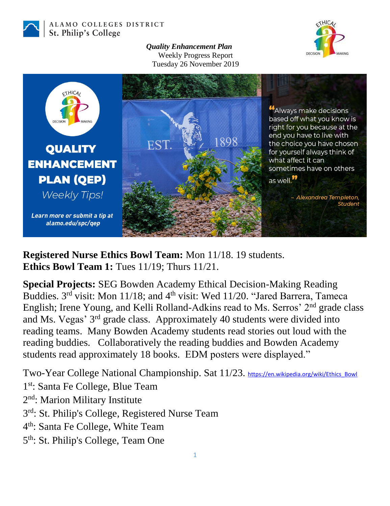

ALAMO COLLEGES DISTRICT St. Philip's College

> *Quality Enhancement Plan* Weekly Progress Report Tuesday 26 November 2019





**Registered Nurse Ethics Bowl Team:** Mon 11/18. 19 students. **Ethics Bowl Team 1:** Tues 11/19; Thurs 11/21.

**Special Projects:** SEG Bowden Academy Ethical Decision-Making Reading Buddies. 3<sup>rd</sup> visit: Mon 11/18; and 4<sup>th</sup> visit: Wed 11/20. "Jared Barrera, Tameca English; Irene Young, and Kelli Rolland-Adkins read to Ms. Serros' 2nd grade class and Ms. Vegas' 3<sup>rd</sup> grade class. Approximately 40 students were divided into reading teams. Many Bowden Academy students read stories out loud with the reading buddies. Collaboratively the reading buddies and Bowden Academy students read approximately 18 books. EDM posters were displayed."

Two-Year College National Championship. Sat 11/23. [https://en.wikipedia.org/wiki/Ethics\\_Bowl](https://en.wikipedia.org/wiki/Ethics_Bowl) 1<sup>st</sup>: Santa Fe College, Blue Team 2<sup>nd</sup>: Marion Military Institute 3<sup>rd</sup>: St. Philip's College, Registered Nurse Team 4 th: Santa Fe College, White Team 5<sup>th</sup>: St. Philip's College, Team One